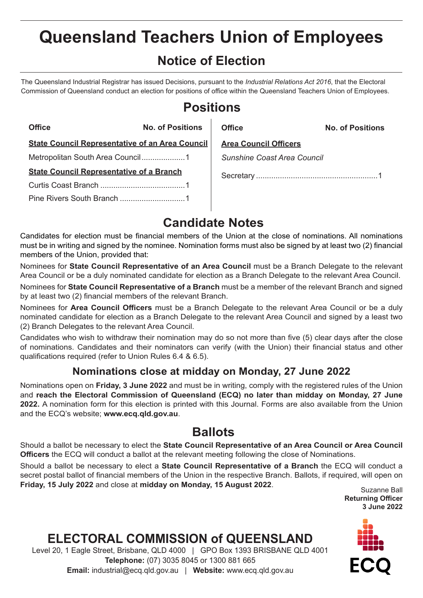# **Queensland Teachers Union of Employees**

### **Notice of Election**

The Queensland Industrial Registrar has issued Decisions, pursuant to the *Industrial Relations Act 2016*, that the Electoral Commission of Queensland conduct an election for positions of office within the Queensland Teachers Union of Employees.

### **Positions**

| <b>Office</b>                                          | <b>No. of Positions</b> | Office                       | <b>No. of Positions</b> |
|--------------------------------------------------------|-------------------------|------------------------------|-------------------------|
| <b>State Council Representative of an Area Council</b> |                         | <b>Area Council Officers</b> |                         |
|                                                        |                         | Sunshine Coast Area Council  |                         |
| <b>State Council Representative of a Branch</b>        |                         |                              |                         |
|                                                        |                         |                              |                         |
|                                                        |                         |                              |                         |

### **Candidate Notes**

Candidates for election must be financial members of the Union at the close of nominations. All nominations must be in writing and signed by the nominee. Nomination forms must also be signed by at least two (2) financial members of the Union, provided that:

Nominees for **State Council Representative of an Area Council** must be a Branch Delegate to the relevant Area Council or be a duly nominated candidate for election as a Branch Delegate to the relevant Area Council.

Nominees for **State Council Representative of a Branch** must be a member of the relevant Branch and signed by at least two (2) financial members of the relevant Branch.

Nominees for **Area Council Officers** must be a Branch Delegate to the relevant Area Council or be a duly nominated candidate for election as a Branch Delegate to the relevant Area Council and signed by a least two (2) Branch Delegates to the relevant Area Council.

Candidates who wish to withdraw their nomination may do so not more than five (5) clear days after the close of nominations. Candidates and their nominators can verify (with the Union) their financial status and other qualifications required (refer to Union Rules 6.4 & 6.5).

#### **Nominations close at midday on Monday, 27 June 2022**

Nominations open on **Friday, 3 June 2022** and must be in writing, comply with the registered rules of the Union and **reach the Electoral Commission of Queensland (ECQ) no later than midday on Monday, 27 June 2022.** A nomination form for this election is printed with this Journal. Forms are also available from the Union and the ECQ's website; **www.ecq.qld.gov.au**.

### **Ballots**

Should a ballot be necessary to elect the **State Council Representative of an Area Council or Area Council Officers** the ECQ will conduct a ballot at the relevant meeting following the close of Nominations.

Should a ballot be necessary to elect a **State Council Representative of a Branch** the ECQ will conduct a secret postal ballot of financial members of the Union in the respective Branch. Ballots, if required, will open on **Friday, 15 July 2022** and close at midday on Monday, 15 August 2022. Suzanne Ball



## **ELECTORAL COMMISSION of QUEENSLAND**

Level 20, 1 Eagle Street, Brisbane, QLD 4000 | GPO Box 1393 BRISBANE QLD 4001 **Telephone:** (07) 3035 8045 or 1300 881 665 **Email:** industrial@ecq.qld.gov.au | **Website:** www.ecq.qld.gov.au